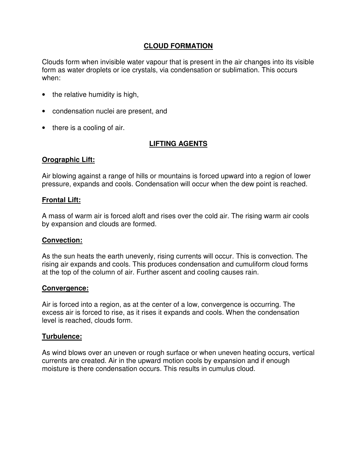## **CLOUD FORMATION**

Clouds form when invisible water vapour that is present in the air changes into its visible form as water droplets or ice crystals, via condensation or sublimation. This occurs when:

- the relative humidity is high,
- condensation nuclei are present, and
- there is a cooling of air.

# **LIFTING AGENTS**

### **Orographic Lift:**

Air blowing against a range of hills or mountains is forced upward into a region of lower pressure, expands and cools. Condensation will occur when the dew point is reached.

#### **Frontal Lift:**

A mass of warm air is forced aloft and rises over the cold air. The rising warm air cools by expansion and clouds are formed.

#### **Convection:**

As the sun heats the earth unevenly, rising currents will occur. This is convection. The rising air expands and cools. This produces condensation and cumuliform cloud forms at the top of the column of air. Further ascent and cooling causes rain.

#### **Convergence:**

Air is forced into a region, as at the center of a low, convergence is occurring. The excess air is forced to rise, as it rises it expands and cools. When the condensation level is reached, clouds form.

### **Turbulence:**

As wind blows over an uneven or rough surface or when uneven heating occurs, vertical currents are created. Air in the upward motion cools by expansion and if enough moisture is there condensation occurs. This results in cumulus cloud.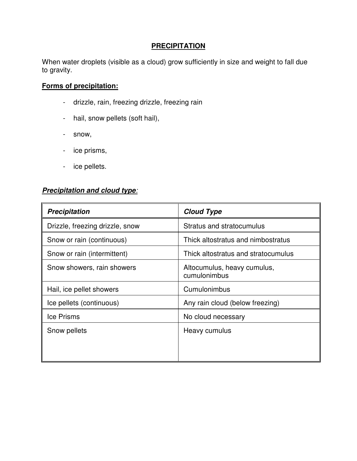# **PRECIPITATION**

When water droplets (visible as a cloud) grow sufficiently in size and weight to fall due to gravity.

# **Forms of precipitation:**

- drizzle, rain, freezing drizzle, freezing rain
- hail, snow pellets (soft hail),
- snow,
- ice prisms,
- ice pellets.

# **Precipitation and cloud type**:

| <b>Precipitation</b>            | <b>Cloud Type</b>                           |
|---------------------------------|---------------------------------------------|
| Drizzle, freezing drizzle, snow | Stratus and stratocumulus                   |
| Snow or rain (continuous)       | Thick altostratus and nimbostratus          |
| Snow or rain (intermittent)     | Thick altostratus and stratocumulus         |
| Snow showers, rain showers      | Altocumulus, heavy cumulus,<br>cumulonimbus |
| Hail, ice pellet showers        | Cumulonimbus                                |
| Ice pellets (continuous)        | Any rain cloud (below freezing)             |
| Ice Prisms                      | No cloud necessary                          |
| Snow pellets                    | Heavy cumulus                               |
|                                 |                                             |
|                                 |                                             |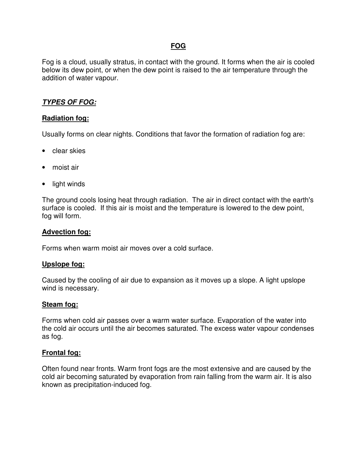# **FOG**

Fog is a cloud, usually stratus, in contact with the ground. It forms when the air is cooled below its dew point, or when the dew point is raised to the air temperature through the addition of water vapour.

# **TYPES OF FOG:**

### **Radiation fog:**

Usually forms on clear nights. Conditions that favor the formation of radiation fog are:

- clear skies
- moist air
- light winds

The ground cools losing heat through radiation. The air in direct contact with the earth's surface is cooled. If this air is moist and the temperature is lowered to the dew point, fog will form.

#### **Advection fog:**

Forms when warm moist air moves over a cold surface.

#### **Upslope fog:**

Caused by the cooling of air due to expansion as it moves up a slope. A light upslope wind is necessary.

#### **Steam fog:**

Forms when cold air passes over a warm water surface. Evaporation of the water into the cold air occurs until the air becomes saturated. The excess water vapour condenses as fog.

#### **Frontal fog:**

Often found near fronts. Warm front fogs are the most extensive and are caused by the cold air becoming saturated by evaporation from rain falling from the warm air. It is also known as precipitation-induced fog.